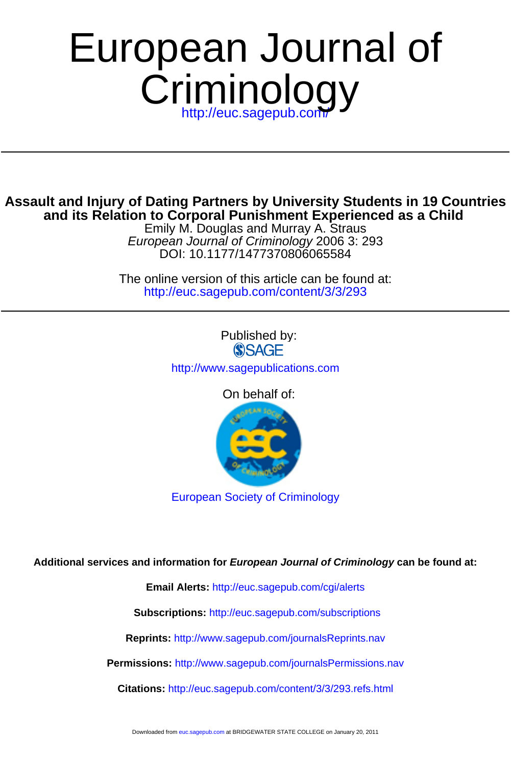# Criminology European Journal of

# **and its Relation to Corporal Punishment Experienced as a Child Assault and Injury of Dating Partners by University Students in 19 Countries**

DOI: 10.1177/1477370806065584 European Journal of Criminology 2006 3: 293 Emily M. Douglas and Murray A. Straus

<http://euc.sagepub.com/content/3/3/293> The online version of this article can be found at:

> Published by:<br>
> SAGE <http://www.sagepublications.com>

> > On behalf of:



[European Society of Criminology](http://www.esc-eurocrim.org)

**Additional services and information for European Journal of Criminology can be found at:**

**Email Alerts:** <http://euc.sagepub.com/cgi/alerts>

**Subscriptions:** <http://euc.sagepub.com/subscriptions>

**Reprints:** <http://www.sagepub.com/journalsReprints.nav>

**Permissions:** <http://www.sagepub.com/journalsPermissions.nav>

**Citations:** <http://euc.sagepub.com/content/3/3/293.refs.html>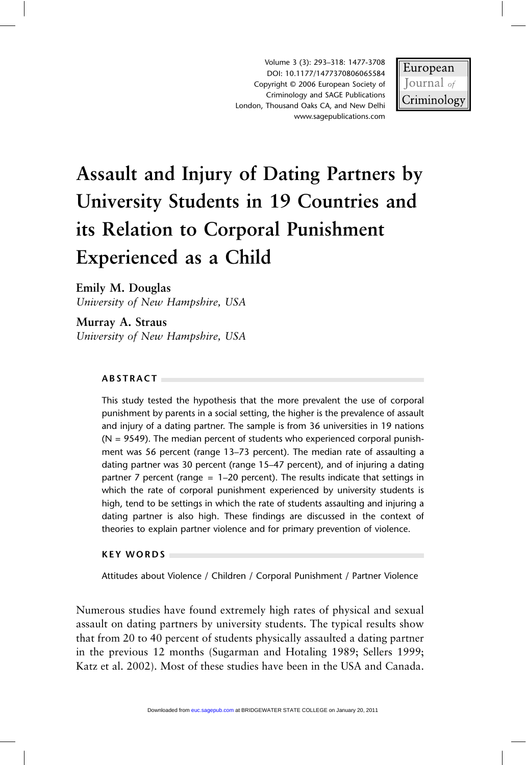Volume 3 (3): 293–318: 1477-3708 DOI: 10.1177/1477370806065584 Copyright © 2006 European Society of Criminology and SAGE Publications London, Thousand Oaks CA, and New Delhi www.sagepublications.com



# **Assault and Injury of Dating Partners by University Students in 19 Countries and its Relation to Corporal Punishment Experienced as a Child**

**Emily M. Douglas**

*University of New Hampshire, USA*

**Murray A. Straus**  *University of New Hampshire, USA*

#### **ABSTRACT**

This study tested the hypothesis that the more prevalent the use of corporal punishment by parents in a social setting, the higher is the prevalence of assault and injury of a dating partner. The sample is from 36 universities in 19 nations  $(N = 9549)$ . The median percent of students who experienced corporal punishment was 56 percent (range 13–73 percent). The median rate of assaulting a dating partner was 30 percent (range 15–47 percent), and of injuring a dating partner 7 percent (range  $= 1-20$  percent). The results indicate that settings in which the rate of corporal punishment experienced by university students is high, tend to be settings in which the rate of students assaulting and injuring a dating partner is also high. These findings are discussed in the context of theories to explain partner violence and for primary prevention of violence.

#### **KEY WORDS**

Attitudes about Violence / Children / Corporal Punishment / Partner Violence

Numerous studies have found extremely high rates of physical and sexual assault on dating partners by university students. The typical results show that from 20 to 40 percent of students physically assaulted a dating partner in the previous 12 months (Sugarman and Hotaling 1989; Sellers 1999; Katz et al. 2002). Most of these studies have been in the USA and Canada.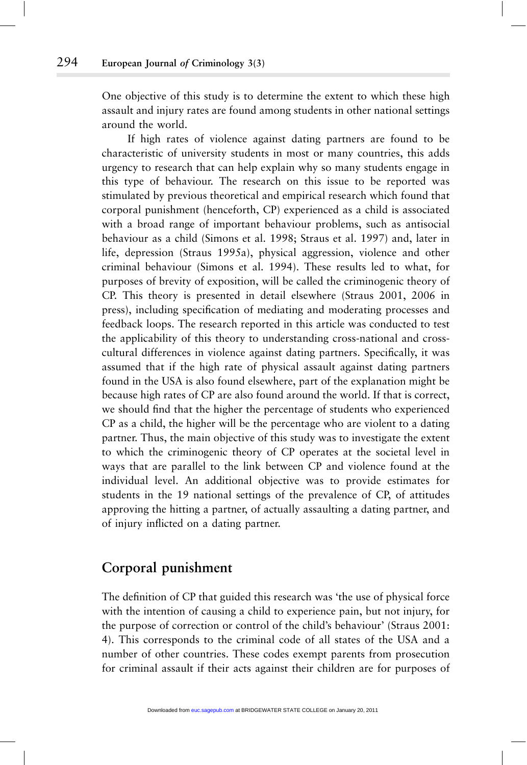One objective of this study is to determine the extent to which these high assault and injury rates are found among students in other national settings around the world.

If high rates of violence against dating partners are found to be characteristic of university students in most or many countries, this adds urgency to research that can help explain why so many students engage in this type of behaviour. The research on this issue to be reported was stimulated by previous theoretical and empirical research which found that corporal punishment (henceforth, CP) experienced as a child is associated with a broad range of important behaviour problems, such as antisocial behaviour as a child (Simons et al. 1998; Straus et al. 1997) and, later in life, depression (Straus 1995a), physical aggression, violence and other criminal behaviour (Simons et al. 1994). These results led to what, for purposes of brevity of exposition, will be called the criminogenic theory of CP. This theory is presented in detail elsewhere (Straus 2001, 2006 in press), including specification of mediating and moderating processes and feedback loops. The research reported in this article was conducted to test the applicability of this theory to understanding cross-national and crosscultural differences in violence against dating partners. Specifically, it was assumed that if the high rate of physical assault against dating partners found in the USA is also found elsewhere, part of the explanation might be because high rates of CP are also found around the world. If that is correct, we should find that the higher the percentage of students who experienced CP as a child, the higher will be the percentage who are violent to a dating partner. Thus, the main objective of this study was to investigate the extent to which the criminogenic theory of CP operates at the societal level in ways that are parallel to the link between CP and violence found at the individual level. An additional objective was to provide estimates for students in the 19 national settings of the prevalence of CP, of attitudes approving the hitting a partner, of actually assaulting a dating partner, and of injury inflicted on a dating partner.

# **Corporal punishment**

The definition of CP that guided this research was 'the use of physical force with the intention of causing a child to experience pain, but not injury, for the purpose of correction or control of the child's behaviour' (Straus 2001: 4). This corresponds to the criminal code of all states of the USA and a number of other countries. These codes exempt parents from prosecution for criminal assault if their acts against their children are for purposes of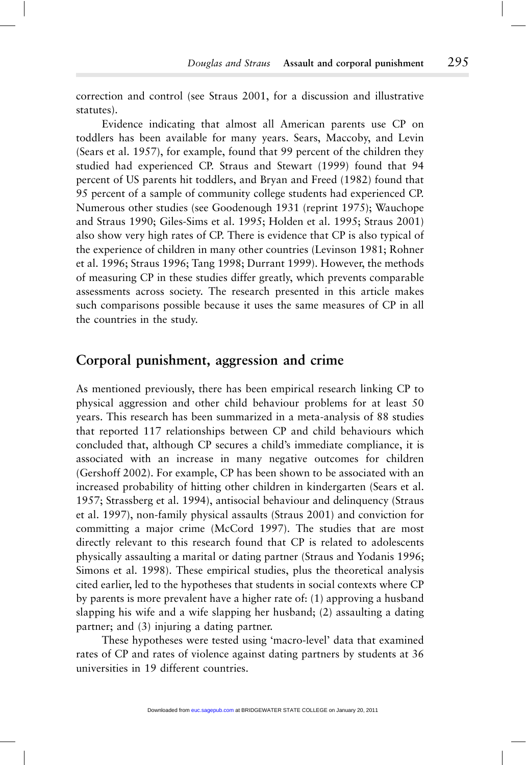correction and control (see Straus 2001, for a discussion and illustrative statutes).

Evidence indicating that almost all American parents use CP on toddlers has been available for many years. Sears, Maccoby, and Levin (Sears et al. 1957), for example, found that 99 percent of the children they studied had experienced CP. Straus and Stewart (1999) found that 94 percent of US parents hit toddlers, and Bryan and Freed (1982) found that 95 percent of a sample of community college students had experienced CP. Numerous other studies (see Goodenough 1931 (reprint 1975); Wauchope and Straus 1990; Giles-Sims et al. 1995; Holden et al. 1995; Straus 2001) also show very high rates of CP. There is evidence that CP is also typical of the experience of children in many other countries (Levinson 1981; Rohner et al. 1996; Straus 1996; Tang 1998; Durrant 1999). However, the methods of measuring CP in these studies differ greatly, which prevents comparable assessments across society. The research presented in this article makes such comparisons possible because it uses the same measures of CP in all the countries in the study.

# **Corporal punishment, aggression and crime**

As mentioned previously, there has been empirical research linking CP to physical aggression and other child behaviour problems for at least 50 years. This research has been summarized in a meta-analysis of 88 studies that reported 117 relationships between CP and child behaviours which concluded that, although CP secures a child's immediate compliance, it is associated with an increase in many negative outcomes for children (Gershoff 2002). For example, CP has been shown to be associated with an increased probability of hitting other children in kindergarten (Sears et al. 1957; Strassberg et al. 1994), antisocial behaviour and delinquency (Straus et al. 1997), non-family physical assaults (Straus 2001) and conviction for committing a major crime (McCord 1997). The studies that are most directly relevant to this research found that CP is related to adolescents physically assaulting a marital or dating partner (Straus and Yodanis 1996; Simons et al. 1998). These empirical studies, plus the theoretical analysis cited earlier, led to the hypotheses that students in social contexts where CP by parents is more prevalent have a higher rate of: (1) approving a husband slapping his wife and a wife slapping her husband; (2) assaulting a dating partner; and (3) injuring a dating partner.

These hypotheses were tested using 'macro-level' data that examined rates of CP and rates of violence against dating partners by students at 36 universities in 19 different countries.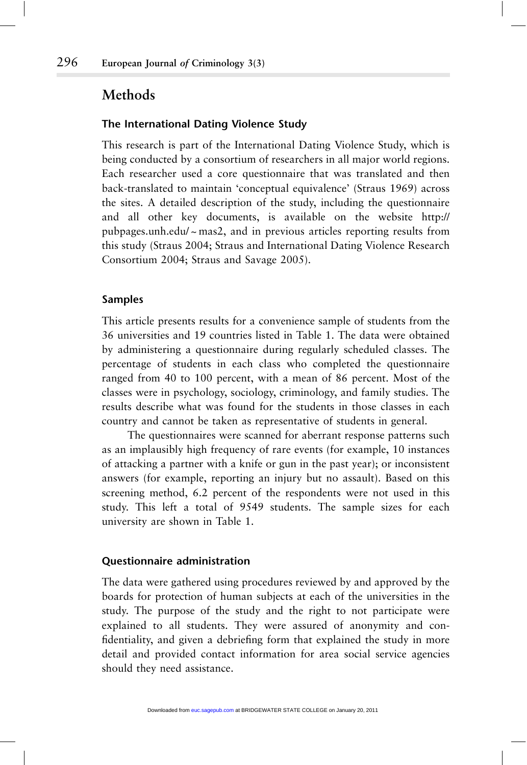# **Methods**

#### **The International Dating Violence Study**

This research is part of the International Dating Violence Study, which is being conducted by a consortium of researchers in all major world regions. Each researcher used a core questionnaire that was translated and then back-translated to maintain 'conceptual equivalence' (Straus 1969) across the sites. A detailed description of the study, including the questionnaire and all other key documents, is available on the website http:// pubpages.unh.edu/ ~ mas2, and in previous articles reporting results from this study (Straus 2004; Straus and International Dating Violence Research Consortium 2004; Straus and Savage 2005).

#### **Samples**

This article presents results for a convenience sample of students from the 36 universities and 19 countries listed in Table 1. The data were obtained by administering a questionnaire during regularly scheduled classes. The percentage of students in each class who completed the questionnaire ranged from 40 to 100 percent, with a mean of 86 percent. Most of the classes were in psychology, sociology, criminology, and family studies. The results describe what was found for the students in those classes in each country and cannot be taken as representative of students in general.

The questionnaires were scanned for aberrant response patterns such as an implausibly high frequency of rare events (for example, 10 instances of attacking a partner with a knife or gun in the past year); or inconsistent answers (for example, reporting an injury but no assault). Based on this screening method, 6.2 percent of the respondents were not used in this study. This left a total of 9549 students. The sample sizes for each university are shown in Table 1.

#### **Questionnaire administration**

The data were gathered using procedures reviewed by and approved by the boards for protection of human subjects at each of the universities in the study. The purpose of the study and the right to not participate were explained to all students. They were assured of anonymity and confidentiality, and given a debriefing form that explained the study in more detail and provided contact information for area social service agencies should they need assistance.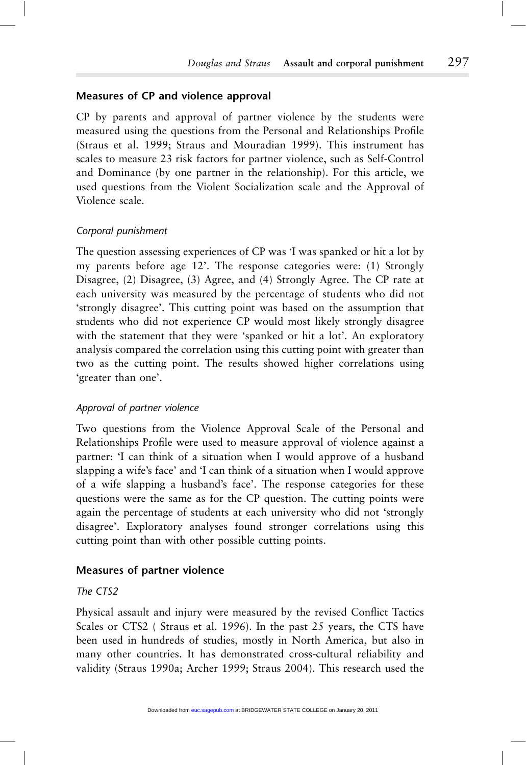#### **Measures of CP and violence approval**

CP by parents and approval of partner violence by the students were measured using the questions from the Personal and Relationships Profile (Straus et al. 1999; Straus and Mouradian 1999). This instrument has scales to measure 23 risk factors for partner violence, such as Self-Control and Dominance (by one partner in the relationship). For this article, we used questions from the Violent Socialization scale and the Approval of Violence scale.

#### *Corporal punishment*

The question assessing experiences of CP was 'I was spanked or hit a lot by my parents before age 12'. The response categories were: (1) Strongly Disagree, (2) Disagree, (3) Agree, and (4) Strongly Agree. The CP rate at each university was measured by the percentage of students who did not 'strongly disagree'. This cutting point was based on the assumption that students who did not experience CP would most likely strongly disagree with the statement that they were 'spanked or hit a lot'. An exploratory analysis compared the correlation using this cutting point with greater than two as the cutting point. The results showed higher correlations using 'greater than one'.

#### *Approval of partner violence*

Two questions from the Violence Approval Scale of the Personal and Relationships Profile were used to measure approval of violence against a partner: 'I can think of a situation when I would approve of a husband slapping a wife's face' and 'I can think of a situation when I would approve of a wife slapping a husband's face'. The response categories for these questions were the same as for the CP question. The cutting points were again the percentage of students at each university who did not 'strongly disagree'. Exploratory analyses found stronger correlations using this cutting point than with other possible cutting points.

#### **Measures of partner violence**

#### *The CTS2*

Physical assault and injury were measured by the revised Conflict Tactics Scales or CTS2 ( Straus et al. 1996). In the past 25 years, the CTS have been used in hundreds of studies, mostly in North America, but also in many other countries. It has demonstrated cross-cultural reliability and validity (Straus 1990a; Archer 1999; Straus 2004). This research used the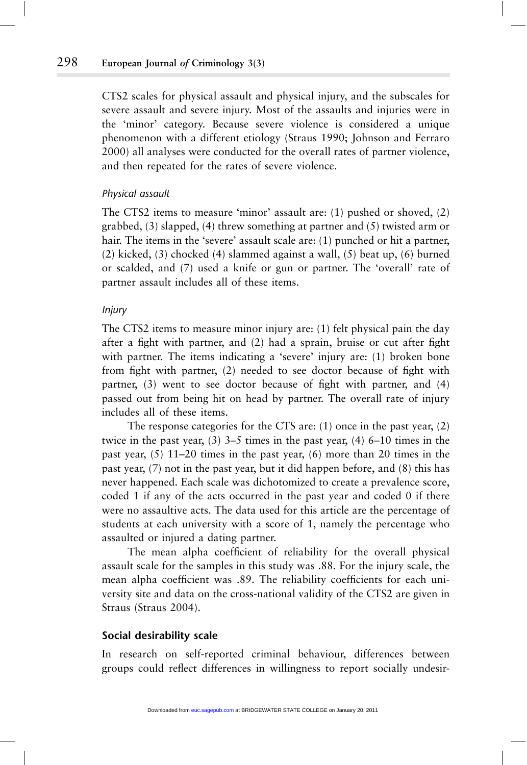CTS2 scales for physical assault and physical injury, and the subscales for severe assault and severe injury. Most of the assaults and injuries were in the 'minor' category. Because severe violence is considered a unique phenomenon with a different etiology (Straus 1990; Johnson and Ferraro 2000) all analyses were conducted for the overall rates of partner violence, and then repeated for the rates of severe violence.

#### *Physical assault*

The CTS2 items to measure 'minor' assault are: (1) pushed or shoved, (2) grabbed, (3) slapped, (4) threw something at partner and (5) twisted arm or hair. The items in the 'severe' assault scale are: (1) punched or hit a partner, (2) kicked, (3) chocked (4) slammed against a wall, (5) beat up, (6) burned or scalded, and (7) used a knife or gun or partner. The 'overall' rate of partner assault includes all of these items.

#### *Injury*

The CTS2 items to measure minor injury are: (1) felt physical pain the day after a fight with partner, and (2) had a sprain, bruise or cut after fight with partner. The items indicating a 'severe' injury are: (1) broken bone from fight with partner, (2) needed to see doctor because of fight with partner, (3) went to see doctor because of fight with partner, and (4) passed out from being hit on head by partner. The overall rate of injury includes all of these items.

The response categories for the CTS are: (1) once in the past year, (2) twice in the past year, (3) 3–5 times in the past year, (4) 6–10 times in the past year, (5) 11–20 times in the past year, (6) more than 20 times in the past year, (7) not in the past year, but it did happen before, and (8) this has never happened. Each scale was dichotomized to create a prevalence score, coded 1 if any of the acts occurred in the past year and coded 0 if there were no assaultive acts. The data used for this article are the percentage of students at each university with a score of 1, namely the percentage who assaulted or injured a dating partner.

The mean alpha coefficient of reliability for the overall physical assault scale for the samples in this study was .88. For the injury scale, the mean alpha coefficient was .89. The reliability coefficients for each university site and data on the cross-national validity of the CTS2 are given in Straus (Straus 2004).

#### **Social desirability scale**

In research on self-reported criminal behaviour, differences between groups could reflect differences in willingness to report socially undesir-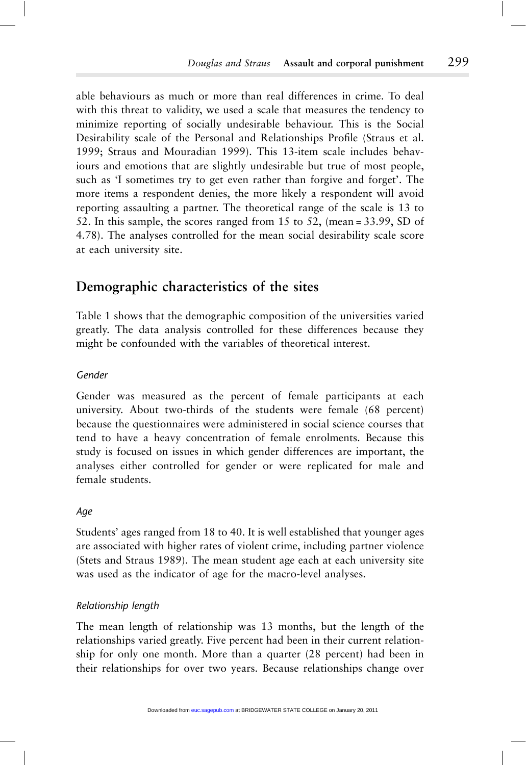able behaviours as much or more than real differences in crime. To deal with this threat to validity, we used a scale that measures the tendency to minimize reporting of socially undesirable behaviour. This is the Social Desirability scale of the Personal and Relationships Profile (Straus et al. 1999; Straus and Mouradian 1999). This 13-item scale includes behaviours and emotions that are slightly undesirable but true of most people, such as 'I sometimes try to get even rather than forgive and forget'. The more items a respondent denies, the more likely a respondent will avoid reporting assaulting a partner. The theoretical range of the scale is 13 to 52. In this sample, the scores ranged from 15 to 52, (mean = 33.99, SD of 4.78). The analyses controlled for the mean social desirability scale score at each university site.

# **Demographic characteristics of the sites**

Table 1 shows that the demographic composition of the universities varied greatly. The data analysis controlled for these differences because they might be confounded with the variables of theoretical interest.

#### *Gender*

Gender was measured as the percent of female participants at each university. About two-thirds of the students were female (68 percent) because the questionnaires were administered in social science courses that tend to have a heavy concentration of female enrolments. Because this study is focused on issues in which gender differences are important, the analyses either controlled for gender or were replicated for male and female students.

#### *Age*

Students' ages ranged from 18 to 40. It is well established that younger ages are associated with higher rates of violent crime, including partner violence (Stets and Straus 1989). The mean student age each at each university site was used as the indicator of age for the macro-level analyses.

#### *Relationship length*

The mean length of relationship was 13 months, but the length of the relationships varied greatly. Five percent had been in their current relationship for only one month. More than a quarter (28 percent) had been in their relationships for over two years. Because relationships change over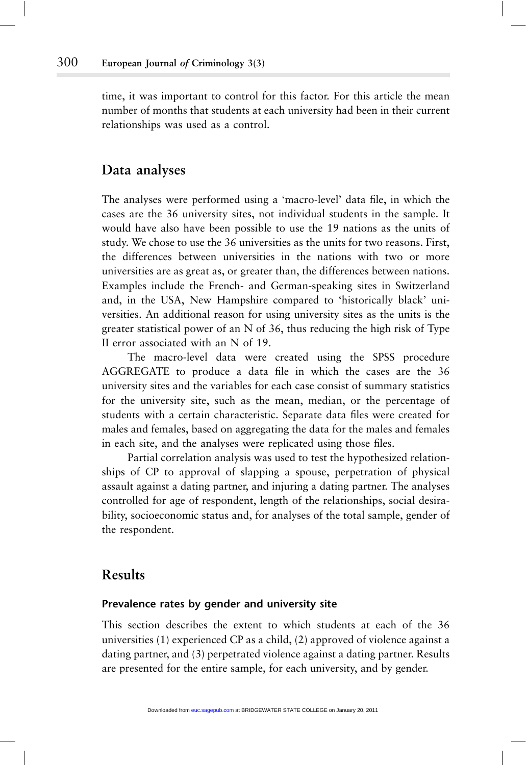time, it was important to control for this factor. For this article the mean number of months that students at each university had been in their current relationships was used as a control.

# **Data analyses**

The analyses were performed using a 'macro-level' data file, in which the cases are the 36 university sites, not individual students in the sample. It would have also have been possible to use the 19 nations as the units of study. We chose to use the 36 universities as the units for two reasons. First, the differences between universities in the nations with two or more universities are as great as, or greater than, the differences between nations. Examples include the French- and German-speaking sites in Switzerland and, in the USA, New Hampshire compared to 'historically black' universities. An additional reason for using university sites as the units is the greater statistical power of an N of 36, thus reducing the high risk of Type II error associated with an N of 19.

The macro-level data were created using the SPSS procedure AGGREGATE to produce a data file in which the cases are the 36 university sites and the variables for each case consist of summary statistics for the university site, such as the mean, median, or the percentage of students with a certain characteristic. Separate data files were created for males and females, based on aggregating the data for the males and females in each site, and the analyses were replicated using those files.

Partial correlation analysis was used to test the hypothesized relationships of CP to approval of slapping a spouse, perpetration of physical assault against a dating partner, and injuring a dating partner. The analyses controlled for age of respondent, length of the relationships, social desirability, socioeconomic status and, for analyses of the total sample, gender of the respondent.

# **Results**

#### **Prevalence rates by gender and university site**

This section describes the extent to which students at each of the 36 universities (1) experienced CP as a child, (2) approved of violence against a dating partner, and (3) perpetrated violence against a dating partner. Results are presented for the entire sample, for each university, and by gender.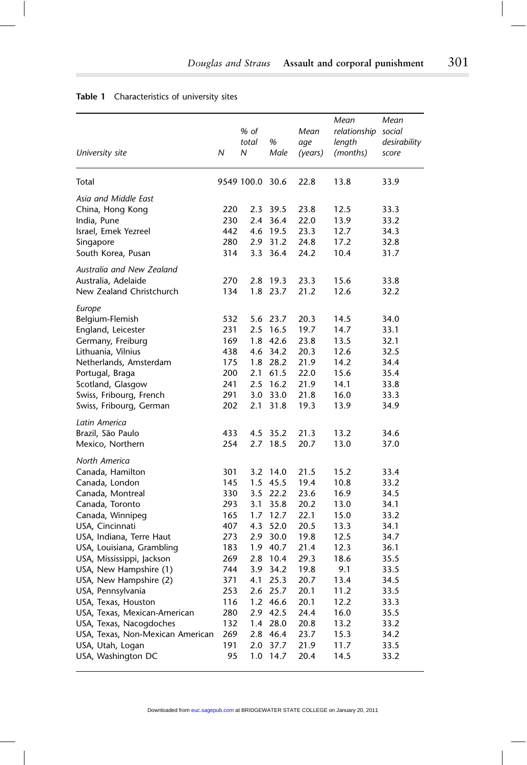| University site                                                                                                                                                                                                    | N                                                           | % of<br>total<br>N                                          | %<br>Male                                                            | Mean<br>age<br>(years)                                               | Mean<br>relationship<br>length<br>(months)                           | Mean<br>social<br>desirability<br>score                              |
|--------------------------------------------------------------------------------------------------------------------------------------------------------------------------------------------------------------------|-------------------------------------------------------------|-------------------------------------------------------------|----------------------------------------------------------------------|----------------------------------------------------------------------|----------------------------------------------------------------------|----------------------------------------------------------------------|
| Total                                                                                                                                                                                                              |                                                             | 9549 100.0                                                  | 30.6                                                                 | 22.8                                                                 | 13.8                                                                 | 33.9                                                                 |
| Asia and Middle East<br>China, Hong Kong<br>India, Pune<br>Israel, Emek Yezreel<br>Singapore<br>South Korea, Pusan                                                                                                 | 220<br>230<br>442<br>280<br>314                             | 2.3<br>2.4<br>4.6<br>2.9<br>3.3                             | 39.5<br>36.4<br>19.5<br>31.2<br>36.4                                 | 23.8<br>22.0<br>23.3<br>24.8<br>24.2                                 | 12.5<br>13.9<br>12.7<br>17.2<br>10.4                                 | 33.3<br>33.2<br>34.3<br>32.8<br>31.7                                 |
| Australia and New Zealand<br>Australia, Adelaide<br>New Zealand Christchurch                                                                                                                                       | 270<br>134                                                  | 2.8<br>1.8                                                  | 19.3<br>23.7                                                         | 23.3<br>21.2                                                         | 15.6<br>12.6                                                         | 33.8<br>32.2                                                         |
| Europe<br>Belgium-Flemish<br>England, Leicester<br>Germany, Freiburg<br>Lithuania, Vilnius<br>Netherlands, Amsterdam<br>Portugal, Braga<br>Scotland, Glasgow<br>Swiss, Fribourg, French<br>Swiss, Fribourg, German | 532<br>231<br>169<br>438<br>175<br>200<br>241<br>291<br>202 | 5.6<br>2.5<br>1.8<br>4.6<br>1.8<br>2.1<br>2.5<br>3.0<br>2.1 | 23.7<br>16.5<br>42.6<br>34.2<br>28.2<br>61.5<br>16.2<br>33.0<br>31.8 | 20.3<br>19.7<br>23.8<br>20.3<br>21.9<br>22.0<br>21.9<br>21.8<br>19.3 | 14.5<br>14.7<br>13.5<br>12.6<br>14.2<br>15.6<br>14.1<br>16.0<br>13.9 | 34.0<br>33.1<br>32.1<br>32.5<br>34.4<br>35.4<br>33.8<br>33.3<br>34.9 |
| Latin America<br>Brazil, São Paulo<br>Mexico, Northern                                                                                                                                                             | 433<br>254                                                  | 4.5<br>2.7                                                  | 35.2<br>18.5                                                         | 21.3<br>20.7                                                         | 13.2<br>13.0                                                         | 34.6<br>37.0                                                         |
| North America<br>Canada, Hamilton<br>Canada, London<br>Canada, Montreal<br>Canada, Toronto<br>Canada, Winnipeg<br>USA, Cincinnati<br>USA, Indiana, Terre Haut                                                      | 301<br>145<br>330<br>293<br>165<br>407<br>273               | 3.2<br>1.5<br>3.5<br>3.1<br>1.7<br>4.3<br>2.9               | 14.0<br>45.5<br>22.2<br>35.8<br>12.7<br>52.0<br>30.0                 | 21.5<br>19.4<br>23.6<br>20.2<br>22.1<br>20.5<br>19.8                 | 15.2<br>10.8<br>16.9<br>13.0<br>15.0<br>13.3<br>12.5                 | 33.4<br>33.2<br>34.5<br>34.1<br>33.2<br>34.1<br>34.7                 |
| USA, Louisiana, Grambling<br>USA, Mississippi, Jackson<br>USA, New Hampshire (1)<br>USA, New Hampshire (2)<br>USA, Pennsylvania<br>USA, Texas, Houston                                                             | 183<br>269<br>744<br>371<br>253<br>116                      | 1.9<br>2.8<br>3.9<br>4.1<br>2.6<br>1.2                      | 40.7<br>10.4<br>34.2<br>25.3<br>25.7<br>46.6                         | 21.4<br>29.3<br>19.8<br>20.7<br>20.1<br>20.1                         | 12.3<br>18.6<br>9.1<br>13.4<br>11.2<br>12.2                          | 36.1<br>35.5<br>33.5<br>34.5<br>33.5<br>33.3                         |
| USA, Texas, Mexican-American<br>USA, Texas, Nacogdoches<br>USA, Texas, Non-Mexican American<br>USA, Utah, Logan<br>USA, Washington DC                                                                              | 280<br>132<br>269<br>191<br>95                              | 2.9<br>1.4<br>2.8<br>2.0<br>1.0                             | 42.5<br>28.0<br>46.4<br>37.7<br>14.7                                 | 24.4<br>20.8<br>23.7<br>21.9<br>20.4                                 | 16.0<br>13.2<br>15.3<br>11.7<br>14.5                                 | 35.5<br>33.2<br>34.2<br>33.5<br>33.2                                 |

#### **Table 1** Characteristics of university sites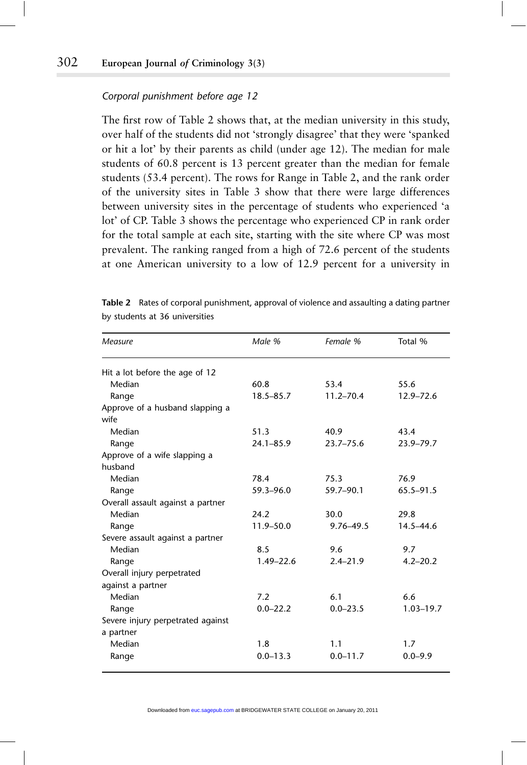#### *Corporal punishment before age 12*

The first row of Table 2 shows that, at the median university in this study, over half of the students did not 'strongly disagree' that they were 'spanked or hit a lot' by their parents as child (under age 12). The median for male students of 60.8 percent is 13 percent greater than the median for female students (53.4 percent). The rows for Range in Table 2, and the rank order of the university sites in Table 3 show that there were large differences between university sites in the percentage of students who experienced 'a lot' of CP. Table 3 shows the percentage who experienced CP in rank order for the total sample at each site, starting with the site where CP was most prevalent. The ranking ranged from a high of 72.6 percent of the students at one American university to a low of 12.9 percent for a university in

| Measure                           | Male %        | Female %      | Total %       |
|-----------------------------------|---------------|---------------|---------------|
| Hit a lot before the age of 12    |               |               |               |
| Median                            | 60.8          | 53.4          | 55.6          |
| Range                             | 18.5-85.7     | $11.2 - 70.4$ | $12.9 - 72.6$ |
| Approve of a husband slapping a   |               |               |               |
| wife                              |               |               |               |
| Median                            | 51.3          | 40.9          | 43.4          |
| Range                             | $24.1 - 85.9$ | $23.7 - 75.6$ | 23.9-79.7     |
| Approve of a wife slapping a      |               |               |               |
| husband                           |               |               |               |
| Median                            | 78.4          | 75.3          | 76.9          |
| Range                             | $59.3 - 96.0$ | 59.7-90.1     | $65.5 - 91.5$ |
| Overall assault against a partner |               |               |               |
| Median                            | 24.2          | 30.0          | 29.8          |
| Range                             | $11.9 - 50.0$ | 9.76-49.5     | $14.5 - 44.6$ |
| Severe assault against a partner  |               |               |               |
| Median                            | 8.5           | 9.6           | 9.7           |
| Range                             | $1.49 - 22.6$ | $2.4 - 21.9$  | $4.2 - 20.2$  |
| Overall injury perpetrated        |               |               |               |
| against a partner                 |               |               |               |
| Median                            | 7.2           | 6.1           | 6.6           |
| Range                             | $0.0 - 22.2$  | $0.0 - 23.5$  | $1.03 - 19.7$ |
| Severe injury perpetrated against |               |               |               |
| a partner                         |               |               |               |
| Median                            | 1.8           | 1.1           | 1.7           |
| Range                             | $0.0 - 13.3$  | $0.0 - 11.7$  | $0.0 - 9.9$   |
|                                   |               |               |               |

**Table 2** Rates of corporal punishment, approval of violence and assaulting a dating partner by students at 36 universities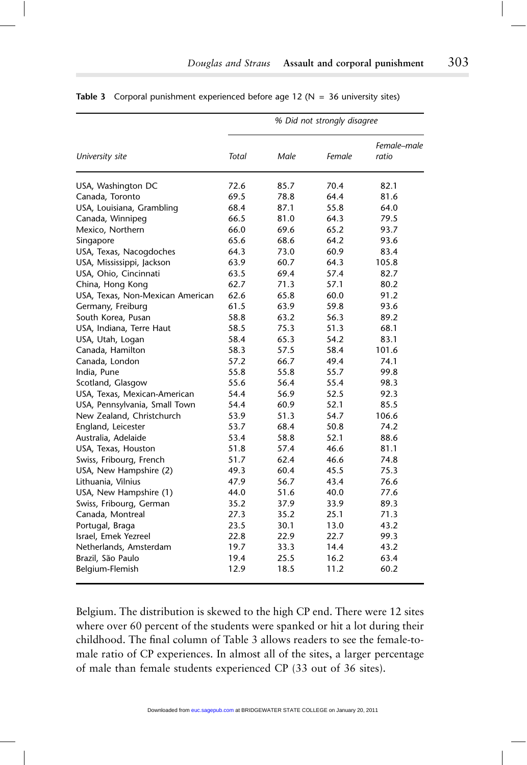|                                  | % Did not strongly disagree |      |        |                      |
|----------------------------------|-----------------------------|------|--------|----------------------|
| University site                  | Total                       | Male | Female | Female-male<br>ratio |
| USA, Washington DC               | 72.6                        | 85.7 | 70.4   | 82.1                 |
| Canada, Toronto                  | 69.5                        | 78.8 | 64.4   | 81.6                 |
| USA, Louisiana, Grambling        | 68.4                        | 87.1 | 55.8   | 64.0                 |
| Canada, Winnipeg                 | 66.5                        | 81.0 | 64.3   | 79.5                 |
| Mexico, Northern                 | 66.0                        | 69.6 | 65.2   | 93.7                 |
| Singapore                        | 65.6                        | 68.6 | 64.2   | 93.6                 |
| USA, Texas, Nacogdoches          | 64.3                        | 73.0 | 60.9   | 83.4                 |
| USA, Mississippi, Jackson        | 63.9                        | 60.7 | 64.3   | 105.8                |
| USA, Ohio, Cincinnati            | 63.5                        | 69.4 | 57.4   | 82.7                 |
| China, Hong Kong                 | 62.7                        | 71.3 | 57.1   | 80.2                 |
| USA, Texas, Non-Mexican American | 62.6                        | 65.8 | 60.0   | 91.2                 |
| Germany, Freiburg                | 61.5                        | 63.9 | 59.8   | 93.6                 |
| South Korea, Pusan               | 58.8                        | 63.2 | 56.3   | 89.2                 |
| USA, Indiana, Terre Haut         | 58.5                        | 75.3 | 51.3   | 68.1                 |
| USA, Utah, Logan                 | 58.4                        | 65.3 | 54.2   | 83.1                 |
| Canada, Hamilton                 | 58.3                        | 57.5 | 58.4   | 101.6                |
| Canada, London                   | 57.2                        | 66.7 | 49.4   | 74.1                 |
| India, Pune                      | 55.8                        | 55.8 | 55.7   | 99.8                 |
| Scotland, Glasgow                | 55.6                        | 56.4 | 55.4   | 98.3                 |
| USA, Texas, Mexican-American     | 54.4                        | 56.9 | 52.5   | 92.3                 |
| USA, Pennsylvania, Small Town    | 54.4                        | 60.9 | 52.1   | 85.5                 |
| New Zealand, Christchurch        | 53.9                        | 51.3 | 54.7   | 106.6                |
| England, Leicester               | 53.7                        | 68.4 | 50.8   | 74.2                 |
| Australia, Adelaide              | 53.4                        | 58.8 | 52.1   | 88.6                 |
| USA, Texas, Houston              | 51.8                        | 57.4 | 46.6   | 81.1                 |
| Swiss, Fribourg, French          | 51.7                        | 62.4 | 46.6   | 74.8                 |
| USA, New Hampshire (2)           | 49.3                        | 60.4 | 45.5   | 75.3                 |
| Lithuania, Vilnius               | 47.9                        | 56.7 | 43.4   | 76.6                 |
| USA, New Hampshire (1)           | 44.0                        | 51.6 | 40.0   | 77.6                 |
| Swiss, Fribourg, German          | 35.2                        | 37.9 | 33.9   | 89.3                 |
| Canada, Montreal                 | 27.3                        | 35.2 | 25.1   | 71.3                 |
| Portugal, Braga                  | 23.5                        | 30.1 | 13.0   | 43.2                 |
| Israel, Emek Yezreel             | 22.8                        | 22.9 | 22.7   | 99.3                 |
| Netherlands, Amsterdam           | 19.7                        | 33.3 | 14.4   | 43.2                 |
| Brazil, São Paulo                | 19.4                        | 25.5 | 16.2   | 63.4                 |
| Belgium-Flemish                  | 12.9                        | 18.5 | 11.2   | 60.2                 |

#### **Table 3** Corporal punishment experienced before age 12 ( $N = 36$  university sites)

Belgium. The distribution is skewed to the high CP end. There were 12 sites where over 60 percent of the students were spanked or hit a lot during their childhood. The final column of Table 3 allows readers to see the female-tomale ratio of CP experiences. In almost all of the sites, a larger percentage of male than female students experienced CP (33 out of 36 sites).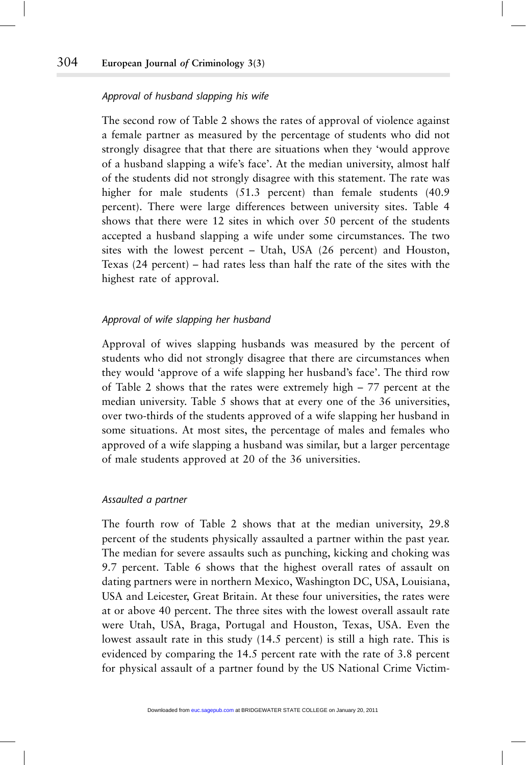#### *Approval of husband slapping his wife*

The second row of Table 2 shows the rates of approval of violence against a female partner as measured by the percentage of students who did not strongly disagree that that there are situations when they 'would approve of a husband slapping a wife's face'. At the median university, almost half of the students did not strongly disagree with this statement. The rate was higher for male students (51.3 percent) than female students (40.9) percent). There were large differences between university sites. Table 4 shows that there were 12 sites in which over 50 percent of the students accepted a husband slapping a wife under some circumstances. The two sites with the lowest percent – Utah, USA (26 percent) and Houston, Texas (24 percent) – had rates less than half the rate of the sites with the highest rate of approval.

#### *Approval of wife slapping her husband*

Approval of wives slapping husbands was measured by the percent of students who did not strongly disagree that there are circumstances when they would 'approve of a wife slapping her husband's face'. The third row of Table 2 shows that the rates were extremely high – 77 percent at the median university. Table 5 shows that at every one of the 36 universities, over two-thirds of the students approved of a wife slapping her husband in some situations. At most sites, the percentage of males and females who approved of a wife slapping a husband was similar, but a larger percentage of male students approved at 20 of the 36 universities.

#### *Assaulted a partner*

The fourth row of Table 2 shows that at the median university, 29.8 percent of the students physically assaulted a partner within the past year. The median for severe assaults such as punching, kicking and choking was 9.7 percent. Table 6 shows that the highest overall rates of assault on dating partners were in northern Mexico, Washington DC, USA, Louisiana, USA and Leicester, Great Britain. At these four universities, the rates were at or above 40 percent. The three sites with the lowest overall assault rate were Utah, USA, Braga, Portugal and Houston, Texas, USA. Even the lowest assault rate in this study (14.5 percent) is still a high rate. This is evidenced by comparing the 14.5 percent rate with the rate of 3.8 percent for physical assault of a partner found by the US National Crime Victim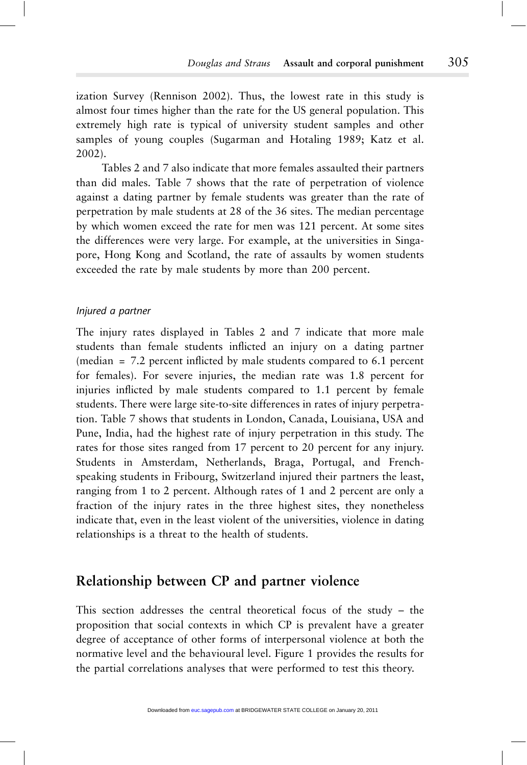ization Survey (Rennison 2002). Thus, the lowest rate in this study is almost four times higher than the rate for the US general population. This extremely high rate is typical of university student samples and other samples of young couples (Sugarman and Hotaling 1989; Katz et al. 2002).

Tables 2 and 7 also indicate that more females assaulted their partners than did males. Table 7 shows that the rate of perpetration of violence against a dating partner by female students was greater than the rate of perpetration by male students at 28 of the 36 sites. The median percentage by which women exceed the rate for men was 121 percent. At some sites the differences were very large. For example, at the universities in Singapore, Hong Kong and Scotland, the rate of assaults by women students exceeded the rate by male students by more than 200 percent.

#### *Injured a partner*

The injury rates displayed in Tables 2 and 7 indicate that more male students than female students inflicted an injury on a dating partner (median = 7.2 percent inflicted by male students compared to 6.1 percent for females). For severe injuries, the median rate was 1.8 percent for injuries inflicted by male students compared to 1.1 percent by female students. There were large site-to-site differences in rates of injury perpetration. Table 7 shows that students in London, Canada, Louisiana, USA and Pune, India, had the highest rate of injury perpetration in this study. The rates for those sites ranged from 17 percent to 20 percent for any injury. Students in Amsterdam, Netherlands, Braga, Portugal, and Frenchspeaking students in Fribourg, Switzerland injured their partners the least, ranging from 1 to 2 percent. Although rates of 1 and 2 percent are only a fraction of the injury rates in the three highest sites, they nonetheless indicate that, even in the least violent of the universities, violence in dating relationships is a threat to the health of students.

# **Relationship between CP and partner violence**

This section addresses the central theoretical focus of the study – the proposition that social contexts in which CP is prevalent have a greater degree of acceptance of other forms of interpersonal violence at both the normative level and the behavioural level. Figure 1 provides the results for the partial correlations analyses that were performed to test this theory.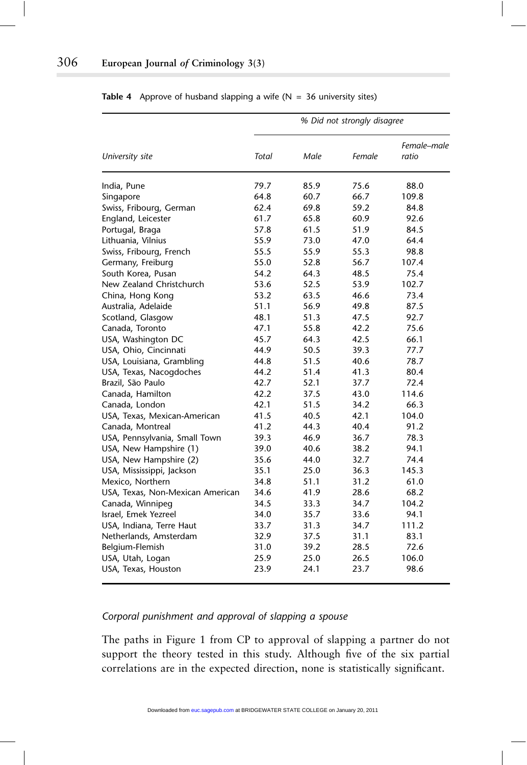|                                  | % Did not strongly disagree |      |        |                      |
|----------------------------------|-----------------------------|------|--------|----------------------|
| University site                  | Total                       | Male | Female | Female-male<br>ratio |
| India, Pune                      | 79.7                        | 85.9 | 75.6   | 88.0                 |
| Singapore                        | 64.8                        | 60.7 | 66.7   | 109.8                |
| Swiss, Fribourg, German          | 62.4                        | 69.8 | 59.2   | 84.8                 |
| England, Leicester               | 61.7                        | 65.8 | 60.9   | 92.6                 |
| Portugal, Braga                  | 57.8                        | 61.5 | 51.9   | 84.5                 |
| Lithuania, Vilnius               | 55.9                        | 73.0 | 47.0   | 64.4                 |
| Swiss, Fribourg, French          | 55.5                        | 55.9 | 55.3   | 98.8                 |
| Germany, Freiburg                | 55.0                        | 52.8 | 56.7   | 107.4                |
| South Korea, Pusan               | 54.2                        | 64.3 | 48.5   | 75.4                 |
| New Zealand Christchurch         | 53.6                        | 52.5 | 53.9   | 102.7                |
| China, Hong Kong                 | 53.2                        | 63.5 | 46.6   | 73.4                 |
| Australia, Adelaide              | 51.1                        | 56.9 | 49.8   | 87.5                 |
| Scotland, Glasgow                | 48.1                        | 51.3 | 47.5   | 92.7                 |
| Canada, Toronto                  | 47.1                        | 55.8 | 42.2   | 75.6                 |
| USA, Washington DC               | 45.7                        | 64.3 | 42.5   | 66.1                 |
| USA, Ohio, Cincinnati            | 44.9                        | 50.5 | 39.3   | 77.7                 |
| USA, Louisiana, Grambling        | 44.8                        | 51.5 | 40.6   | 78.7                 |
| USA, Texas, Nacogdoches          | 44.2                        | 51.4 | 41.3   | 80.4                 |
| Brazil, São Paulo                | 42.7                        | 52.1 | 37.7   | 72.4                 |
| Canada, Hamilton                 | 42.2                        | 37.5 | 43.0   | 114.6                |
| Canada, London                   | 42.1                        | 51.5 | 34.2   | 66.3                 |
| USA, Texas, Mexican-American     | 41.5                        | 40.5 | 42.1   | 104.0                |
| Canada, Montreal                 | 41.2                        | 44.3 | 40.4   | 91.2                 |
| USA, Pennsylvania, Small Town    | 39.3                        | 46.9 | 36.7   | 78.3                 |
| USA, New Hampshire (1)           | 39.0                        | 40.6 | 38.2   | 94.1                 |
| USA, New Hampshire (2)           | 35.6                        | 44.0 | 32.7   | 74.4                 |
| USA, Mississippi, Jackson        | 35.1                        | 25.0 | 36.3   | 145.3                |
| Mexico, Northern                 | 34.8                        | 51.1 | 31.2   | 61.0                 |
| USA, Texas, Non-Mexican American | 34.6                        | 41.9 | 28.6   | 68.2                 |
| Canada, Winnipeg                 | 34.5                        | 33.3 | 34.7   | 104.2                |
| Israel, Emek Yezreel             | 34.0                        | 35.7 | 33.6   | 94.1                 |
| USA, Indiana, Terre Haut         | 33.7                        | 31.3 | 34.7   | 111.2                |
| Netherlands, Amsterdam           | 32.9                        | 37.5 | 31.1   | 83.1                 |
| Belgium-Flemish                  | 31.0                        | 39.2 | 28.5   | 72.6                 |
| USA, Utah, Logan                 | 25.9                        | 25.0 | 26.5   | 106.0                |
| USA, Texas, Houston              | 23.9                        | 24.1 | 23.7   | 98.6                 |

#### **Table 4** Approve of husband slapping a wife  $(N = 36$  university sites)

#### *Corporal punishment and approval of slapping a spouse*

The paths in Figure 1 from CP to approval of slapping a partner do not support the theory tested in this study. Although five of the six partial correlations are in the expected direction, none is statistically significant.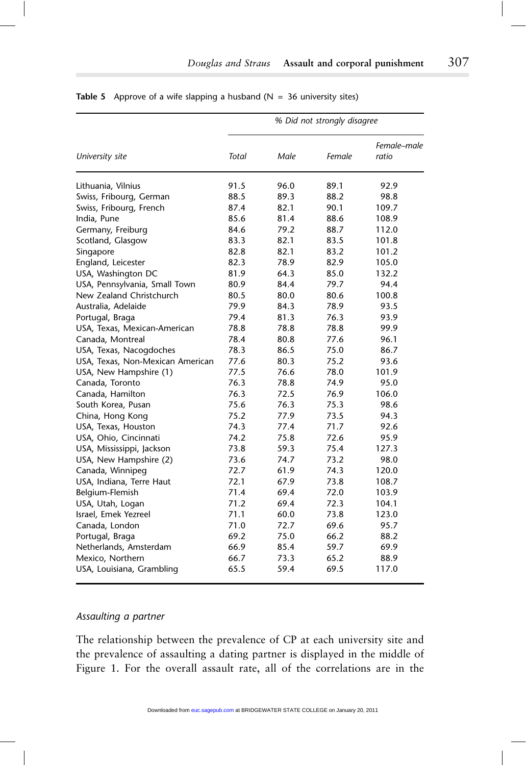|                                  | % Did not strongly disagree |      |        |                      |
|----------------------------------|-----------------------------|------|--------|----------------------|
| University site                  | Total                       | Male | Female | Female-male<br>ratio |
| Lithuania, Vilnius               | 91.5                        | 96.0 | 89.1   | 92.9                 |
| Swiss, Fribourg, German          | 88.5                        | 89.3 | 88.2   | 98.8                 |
| Swiss, Fribourg, French          | 87.4                        | 82.1 | 90.1   | 109.7                |
| India, Pune                      | 85.6                        | 81.4 | 88.6   | 108.9                |
| Germany, Freiburg                | 84.6                        | 79.2 | 88.7   | 112.0                |
| Scotland, Glasgow                | 83.3                        | 82.1 | 83.5   | 101.8                |
| Singapore                        | 82.8                        | 82.1 | 83.2   | 101.2                |
| England, Leicester               | 82.3                        | 78.9 | 82.9   | 105.0                |
| USA, Washington DC               | 81.9                        | 64.3 | 85.0   | 132.2                |
| USA, Pennsylvania, Small Town    | 80.9                        | 84.4 | 79.7   | 94.4                 |
| New Zealand Christchurch         | 80.5                        | 80.0 | 80.6   | 100.8                |
| Australia, Adelaide              | 79.9                        | 84.3 | 78.9   | 93.5                 |
| Portugal, Braga                  | 79.4                        | 81.3 | 76.3   | 93.9                 |
| USA, Texas, Mexican-American     | 78.8                        | 78.8 | 78.8   | 99.9                 |
| Canada, Montreal                 | 78.4                        | 80.8 | 77.6   | 96.1                 |
| USA, Texas, Nacogdoches          | 78.3                        | 86.5 | 75.0   | 86.7                 |
| USA, Texas, Non-Mexican American | 77.6                        | 80.3 | 75.2   | 93.6                 |
| USA, New Hampshire (1)           | 77.5                        | 76.6 | 78.0   | 101.9                |
| Canada, Toronto                  | 76.3                        | 78.8 | 74.9   | 95.0                 |
| Canada, Hamilton                 | 76.3                        | 72.5 | 76.9   | 106.0                |
| South Korea, Pusan               | 75.6                        | 76.3 | 75.3   | 98.6                 |
| China, Hong Kong                 | 75.2                        | 77.9 | 73.5   | 94.3                 |
| USA, Texas, Houston              | 74.3                        | 77.4 | 71.7   | 92.6                 |
| USA, Ohio, Cincinnati            | 74.2                        | 75.8 | 72.6   | 95.9                 |
| USA, Mississippi, Jackson        | 73.8                        | 59.3 | 75.4   | 127.3                |
| USA, New Hampshire (2)           | 73.6                        | 74.7 | 73.2   | 98.0                 |
| Canada, Winnipeg                 | 72.7                        | 61.9 | 74.3   | 120.0                |
| USA, Indiana, Terre Haut         | 72.1                        | 67.9 | 73.8   | 108.7                |
| Belgium-Flemish                  | 71.4                        | 69.4 | 72.0   | 103.9                |
| USA, Utah, Logan                 | 71.2                        | 69.4 | 72.3   | 104.1                |
| Israel, Emek Yezreel             | 71.1                        | 60.0 | 73.8   | 123.0                |
| Canada, London                   | 71.0                        | 72.7 | 69.6   | 95.7                 |
| Portugal, Braga                  | 69.2                        | 75.0 | 66.2   | 88.2                 |
| Netherlands, Amsterdam           | 66.9                        | 85.4 | 59.7   | 69.9                 |
| Mexico, Northern                 | 66.7                        | 73.3 | 65.2   | 88.9                 |
| USA, Louisiana, Grambling        | 65.5                        | 59.4 | 69.5   | 117.0                |

#### **Table 5** Approve of a wife slapping a husband  $(N = 36$  university sites)

#### *Assaulting a partner*

The relationship between the prevalence of CP at each university site and the prevalence of assaulting a dating partner is displayed in the middle of Figure 1. For the overall assault rate, all of the correlations are in the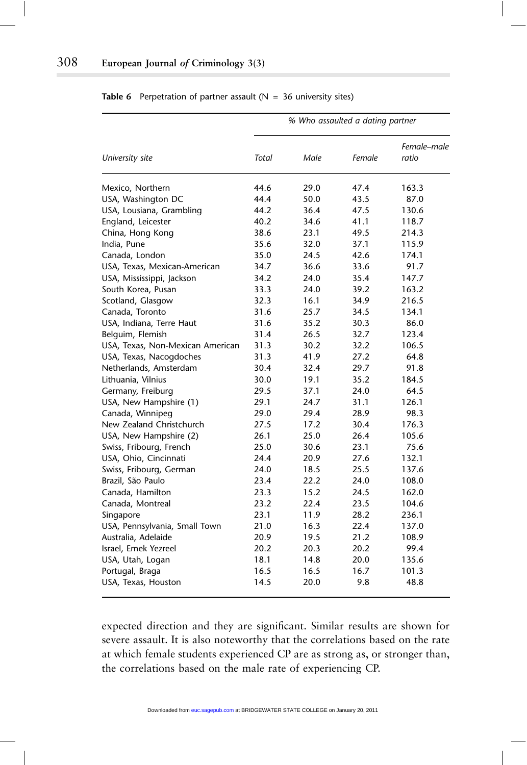|                                  | % Who assaulted a dating partner |      |        |                      |
|----------------------------------|----------------------------------|------|--------|----------------------|
| University site                  | Total                            | Male | Female | Female-male<br>ratio |
| Mexico, Northern                 | 44.6                             | 29.0 | 47.4   | 163.3                |
| USA, Washington DC               | 44.4                             | 50.0 | 43.5   | 87.0                 |
| USA, Lousiana, Grambling         | 44.2                             | 36.4 | 47.5   | 130.6                |
| England, Leicester               | 40.2                             | 34.6 | 41.1   | 118.7                |
| China, Hong Kong                 | 38.6                             | 23.1 | 49.5   | 214.3                |
| India, Pune                      | 35.6                             | 32.0 | 37.1   | 115.9                |
| Canada, London                   | 35.0                             | 24.5 | 42.6   | 174.1                |
| USA, Texas, Mexican-American     | 34.7                             | 36.6 | 33.6   | 91.7                 |
| USA, Mississippi, Jackson        | 34.2                             | 24.0 | 35.4   | 147.7                |
| South Korea, Pusan               | 33.3                             | 24.0 | 39.2   | 163.2                |
| Scotland, Glasgow                | 32.3                             | 16.1 | 34.9   | 216.5                |
| Canada, Toronto                  | 31.6                             | 25.7 | 34.5   | 134.1                |
| USA, Indiana, Terre Haut         | 31.6                             | 35.2 | 30.3   | 86.0                 |
| Belguim, Flemish                 | 31.4                             | 26.5 | 32.7   | 123.4                |
| USA, Texas, Non-Mexican American | 31.3                             | 30.2 | 32.2   | 106.5                |
| USA, Texas, Nacogdoches          | 31.3                             | 41.9 | 27.2   | 64.8                 |
| Netherlands, Amsterdam           | 30.4                             | 32.4 | 29.7   | 91.8                 |
| Lithuania, Vilnius               | 30.0                             | 19.1 | 35.2   | 184.5                |
| Germany, Freiburg                | 29.5                             | 37.1 | 24.0   | 64.5                 |
| USA, New Hampshire (1)           | 29.1                             | 24.7 | 31.1   | 126.1                |
| Canada, Winnipeg                 | 29.0                             | 29.4 | 28.9   | 98.3                 |
| New Zealand Christchurch         | 27.5                             | 17.2 | 30.4   | 176.3                |
| USA, New Hampshire (2)           | 26.1                             | 25.0 | 26.4   | 105.6                |
| Swiss, Fribourg, French          | 25.0                             | 30.6 | 23.1   | 75.6                 |
| USA, Ohio, Cincinnati            | 24.4                             | 20.9 | 27.6   | 132.1                |
| Swiss, Fribourg, German          | 24.0                             | 18.5 | 25.5   | 137.6                |
| Brazil, São Paulo                | 23.4                             | 22.2 | 24.0   | 108.0                |
| Canada, Hamilton                 | 23.3                             | 15.2 | 24.5   | 162.0                |
| Canada, Montreal                 | 23.2                             | 22.4 | 23.5   | 104.6                |
| Singapore                        | 23.1                             | 11.9 | 28.2   | 236.1                |
| USA, Pennsylvania, Small Town    | 21.0                             | 16.3 | 22.4   | 137.0                |
| Australia, Adelaide              | 20.9                             | 19.5 | 21.2   | 108.9                |
| Israel, Emek Yezreel             | 20.2                             | 20.3 | 20.2   | 99.4                 |
| USA, Utah, Logan                 | 18.1                             | 14.8 | 20.0   | 135.6                |
| Portugal, Braga                  | 16.5                             | 16.5 | 16.7   | 101.3                |
| USA, Texas, Houston              | 14.5                             | 20.0 | 9.8    | 48.8                 |

#### **Table 6** Perpetration of partner assault  $(N = 36$  university sites)

expected direction and they are significant. Similar results are shown for severe assault. It is also noteworthy that the correlations based on the rate at which female students experienced CP are as strong as, or stronger than, the correlations based on the male rate of experiencing CP.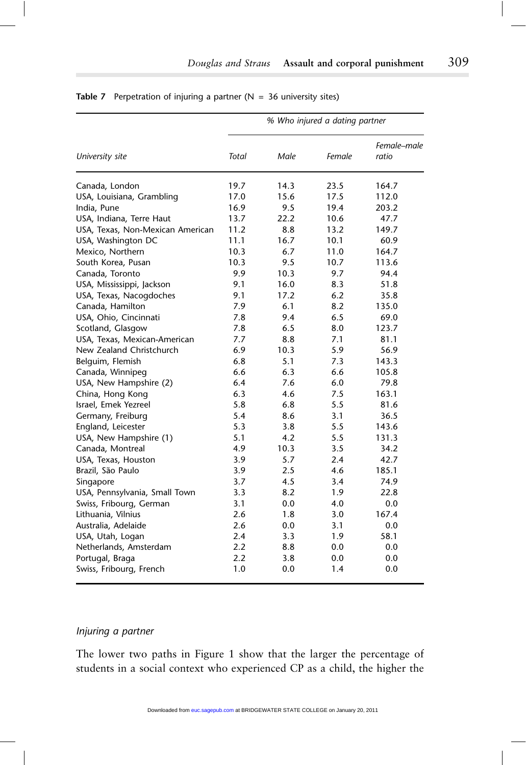|                                  | % Who injured a dating partner |      |        |                      |
|----------------------------------|--------------------------------|------|--------|----------------------|
| University site                  | Total                          | Male | Female | Female-male<br>ratio |
| Canada, London                   | 19.7                           | 14.3 | 23.5   | 164.7                |
| USA, Louisiana, Grambling        | 17.0                           | 15.6 | 17.5   | 112.0                |
| India, Pune                      | 16.9                           | 9.5  | 19.4   | 203.2                |
| USA, Indiana, Terre Haut         | 13.7                           | 22.2 | 10.6   | 47.7                 |
| USA, Texas, Non-Mexican American | 11.2                           | 8.8  | 13.2   | 149.7                |
| USA, Washington DC               | 11.1                           | 16.7 | 10.1   | 60.9                 |
| Mexico, Northern                 | 10.3                           | 6.7  | 11.0   | 164.7                |
| South Korea, Pusan               | 10.3                           | 9.5  | 10.7   | 113.6                |
| Canada, Toronto                  | 9.9                            | 10.3 | 9.7    | 94.4                 |
| USA, Mississippi, Jackson        | 9.1                            | 16.0 | 8.3    | 51.8                 |
| USA, Texas, Nacogdoches          | 9.1                            | 17.2 | 6.2    | 35.8                 |
| Canada, Hamilton                 | 7.9                            | 6.1  | 8.2    | 135.0                |
| USA, Ohio, Cincinnati            | 7.8                            | 9.4  | 6.5    | 69.0                 |
| Scotland, Glasgow                | 7.8                            | 6.5  | 8.0    | 123.7                |
| USA, Texas, Mexican-American     | 7.7                            | 8.8  | 7.1    | 81.1                 |
| New Zealand Christchurch         | 6.9                            | 10.3 | 5.9    | 56.9                 |
| Belguim, Flemish                 | 6.8                            | 5.1  | 7.3    | 143.3                |
| Canada, Winnipeg                 | 6.6                            | 6.3  | 6.6    | 105.8                |
| USA, New Hampshire (2)           | 6.4                            | 7.6  | 6.0    | 79.8                 |
| China, Hong Kong                 | 6.3                            | 4.6  | 7.5    | 163.1                |
| Israel, Emek Yezreel             | 5.8                            | 6.8  | 5.5    | 81.6                 |
| Germany, Freiburg                | 5.4                            | 8.6  | 3.1    | 36.5                 |
| England, Leicester               | 5.3                            | 3.8  | 5.5    | 143.6                |
| USA, New Hampshire (1)           | 5.1                            | 4.2  | 5.5    | 131.3                |
| Canada, Montreal                 | 4.9                            | 10.3 | 3.5    | 34.2                 |
| USA, Texas, Houston              | 3.9                            | 5.7  | 2.4    | 42.7                 |
| Brazil, São Paulo                | 3.9                            | 2.5  | 4.6    | 185.1                |
| Singapore                        | 3.7                            | 4.5  | 3.4    | 74.9                 |
| USA, Pennsylvania, Small Town    | 3.3                            | 8.2  | 1.9    | 22.8                 |
| Swiss, Fribourg, German          | 3.1                            | 0.0  | 4.0    | 0.0                  |
| Lithuania, Vilnius               | 2.6                            | 1.8  | 3.0    | 167.4                |
| Australia, Adelaide              | 2.6                            | 0.0  | 3.1    | 0.0                  |
| USA, Utah, Logan                 | 2.4                            | 3.3  | 1.9    | 58.1                 |
| Netherlands, Amsterdam           | 2.2                            | 8.8  | 0.0    | 0.0                  |
| Portugal, Braga                  | 2.2                            | 3.8  | 0.0    | 0.0                  |
| Swiss, Fribourg, French          | 1.0                            | 0.0  | 1.4    | 0.0                  |

#### **Table 7** Perpetration of injuring a partner ( $N = 36$  university sites)

#### *Injuring a partner*

The lower two paths in Figure 1 show that the larger the percentage of students in a social context who experienced CP as a child, the higher the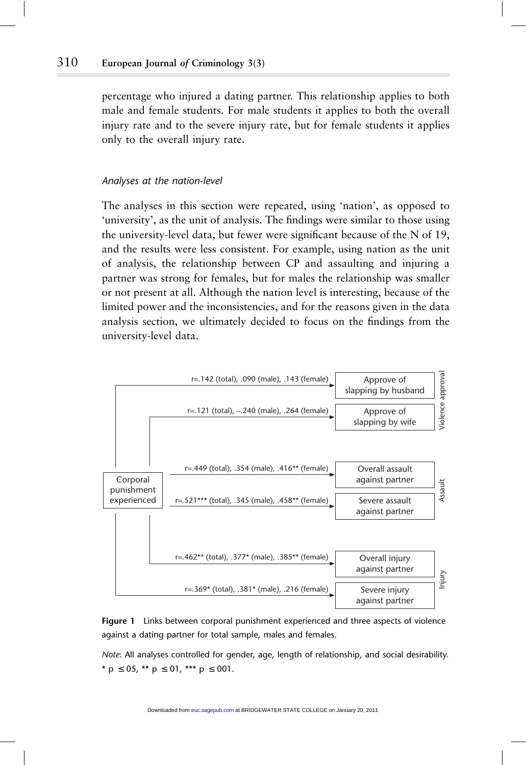percentage who injured a dating partner. This relationship applies to both male and female students. For male students it applies to both the overall injury rate and to the severe injury rate, but for female students it applies only to the overall injury rate.

#### *Analyses at the nation-level*

The analyses in this section were repeated, using 'nation', as opposed to 'university', as the unit of analysis. The findings were similar to those using the university-level data, but fewer were significant because of the N of 19, and the results were less consistent. For example, using nation as the unit of analysis, the relationship between CP and assaulting and injuring a partner was strong for females, but for males the relationship was smaller or not present at all. Although the nation level is interesting, because of the limited power and the inconsistencies, and for the reasons given in the data analysis section, we ultimately decided to focus on the findings from the university-level data.



**Figure 1** Links between corporal punishment experienced and three aspects of violence against a dating partner for total sample, males and females.

*Note*: All analyses controlled for gender, age, length of relationship, and social desirability. \*  $p \le 05$ , \*\*  $p \le 01$ , \*\*\*  $p \le 001$ .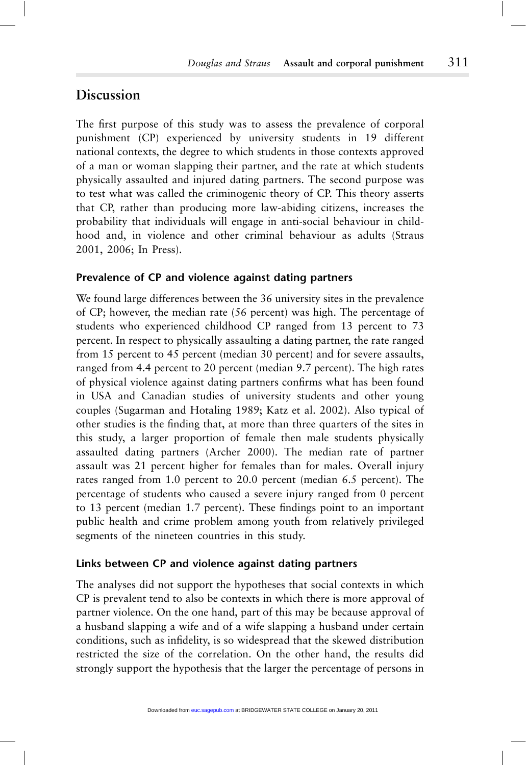# **Discussion**

The first purpose of this study was to assess the prevalence of corporal punishment (CP) experienced by university students in 19 different national contexts, the degree to which students in those contexts approved of a man or woman slapping their partner, and the rate at which students physically assaulted and injured dating partners. The second purpose was to test what was called the criminogenic theory of CP. This theory asserts that CP, rather than producing more law-abiding citizens, increases the probability that individuals will engage in anti-social behaviour in childhood and, in violence and other criminal behaviour as adults (Straus 2001, 2006; In Press).

#### **Prevalence of CP and violence against dating partners**

We found large differences between the 36 university sites in the prevalence of CP; however, the median rate (56 percent) was high. The percentage of students who experienced childhood CP ranged from 13 percent to 73 percent. In respect to physically assaulting a dating partner, the rate ranged from 15 percent to 45 percent (median 30 percent) and for severe assaults, ranged from 4.4 percent to 20 percent (median 9.7 percent). The high rates of physical violence against dating partners confirms what has been found in USA and Canadian studies of university students and other young couples (Sugarman and Hotaling 1989; Katz et al. 2002). Also typical of other studies is the finding that, at more than three quarters of the sites in this study, a larger proportion of female then male students physically assaulted dating partners (Archer 2000). The median rate of partner assault was 21 percent higher for females than for males. Overall injury rates ranged from 1.0 percent to 20.0 percent (median 6.5 percent). The percentage of students who caused a severe injury ranged from 0 percent to 13 percent (median 1.7 percent). These findings point to an important public health and crime problem among youth from relatively privileged segments of the nineteen countries in this study.

#### **Links between CP and violence against dating partners**

The analyses did not support the hypotheses that social contexts in which CP is prevalent tend to also be contexts in which there is more approval of partner violence. On the one hand, part of this may be because approval of a husband slapping a wife and of a wife slapping a husband under certain conditions, such as infidelity, is so widespread that the skewed distribution restricted the size of the correlation. On the other hand, the results did strongly support the hypothesis that the larger the percentage of persons in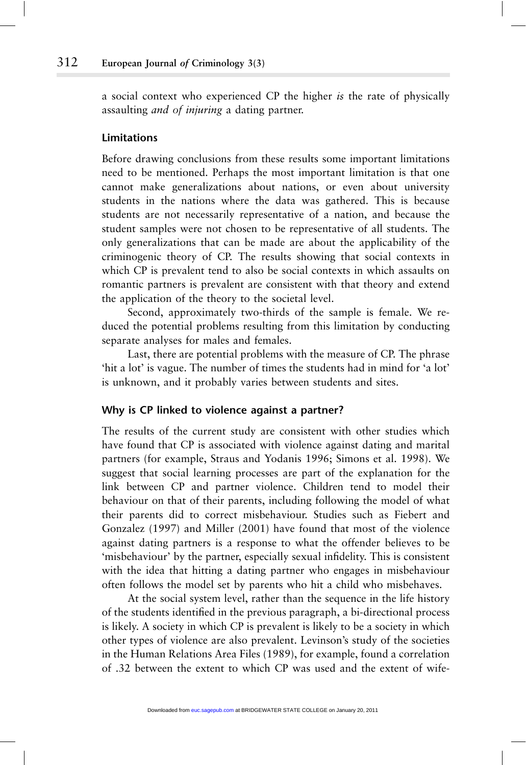a social context who experienced CP the higher *is* the rate of physically assaulting *and of injuring* a dating partner.

#### **Limitations**

Before drawing conclusions from these results some important limitations need to be mentioned. Perhaps the most important limitation is that one cannot make generalizations about nations, or even about university students in the nations where the data was gathered. This is because students are not necessarily representative of a nation, and because the student samples were not chosen to be representative of all students. The only generalizations that can be made are about the applicability of the criminogenic theory of CP. The results showing that social contexts in which CP is prevalent tend to also be social contexts in which assaults on romantic partners is prevalent are consistent with that theory and extend the application of the theory to the societal level.

Second, approximately two-thirds of the sample is female. We reduced the potential problems resulting from this limitation by conducting separate analyses for males and females.

Last, there are potential problems with the measure of CP. The phrase 'hit a lot' is vague. The number of times the students had in mind for 'a lot' is unknown, and it probably varies between students and sites.

#### **Why is CP linked to violence against a partner?**

The results of the current study are consistent with other studies which have found that CP is associated with violence against dating and marital partners (for example, Straus and Yodanis 1996; Simons et al. 1998). We suggest that social learning processes are part of the explanation for the link between CP and partner violence. Children tend to model their behaviour on that of their parents, including following the model of what their parents did to correct misbehaviour. Studies such as Fiebert and Gonzalez (1997) and Miller (2001) have found that most of the violence against dating partners is a response to what the offender believes to be 'misbehaviour' by the partner, especially sexual infidelity. This is consistent with the idea that hitting a dating partner who engages in misbehaviour often follows the model set by parents who hit a child who misbehaves.

At the social system level, rather than the sequence in the life history of the students identified in the previous paragraph, a bi-directional process is likely. A society in which CP is prevalent is likely to be a society in which other types of violence are also prevalent. Levinson's study of the societies in the Human Relations Area Files (1989), for example, found a correlation of .32 between the extent to which CP was used and the extent of wife-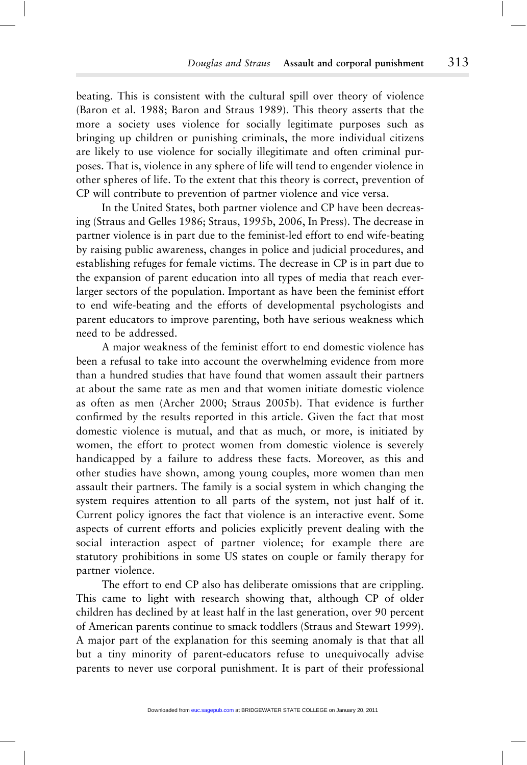beating. This is consistent with the cultural spill over theory of violence (Baron et al. 1988; Baron and Straus 1989). This theory asserts that the more a society uses violence for socially legitimate purposes such as bringing up children or punishing criminals, the more individual citizens are likely to use violence for socially illegitimate and often criminal purposes. That is, violence in any sphere of life will tend to engender violence in other spheres of life. To the extent that this theory is correct, prevention of CP will contribute to prevention of partner violence and vice versa.

In the United States, both partner violence and CP have been decreasing (Straus and Gelles 1986; Straus, 1995b, 2006, In Press). The decrease in partner violence is in part due to the feminist-led effort to end wife-beating by raising public awareness, changes in police and judicial procedures, and establishing refuges for female victims. The decrease in CP is in part due to the expansion of parent education into all types of media that reach everlarger sectors of the population. Important as have been the feminist effort to end wife-beating and the efforts of developmental psychologists and parent educators to improve parenting, both have serious weakness which need to be addressed.

A major weakness of the feminist effort to end domestic violence has been a refusal to take into account the overwhelming evidence from more than a hundred studies that have found that women assault their partners at about the same rate as men and that women initiate domestic violence as often as men (Archer 2000; Straus 2005b). That evidence is further confirmed by the results reported in this article. Given the fact that most domestic violence is mutual, and that as much, or more, is initiated by women, the effort to protect women from domestic violence is severely handicapped by a failure to address these facts. Moreover, as this and other studies have shown, among young couples, more women than men assault their partners. The family is a social system in which changing the system requires attention to all parts of the system, not just half of it. Current policy ignores the fact that violence is an interactive event. Some aspects of current efforts and policies explicitly prevent dealing with the social interaction aspect of partner violence; for example there are statutory prohibitions in some US states on couple or family therapy for partner violence.

The effort to end CP also has deliberate omissions that are crippling. This came to light with research showing that, although CP of older children has declined by at least half in the last generation, over 90 percent of American parents continue to smack toddlers (Straus and Stewart 1999). A major part of the explanation for this seeming anomaly is that that all but a tiny minority of parent-educators refuse to unequivocally advise parents to never use corporal punishment. It is part of their professional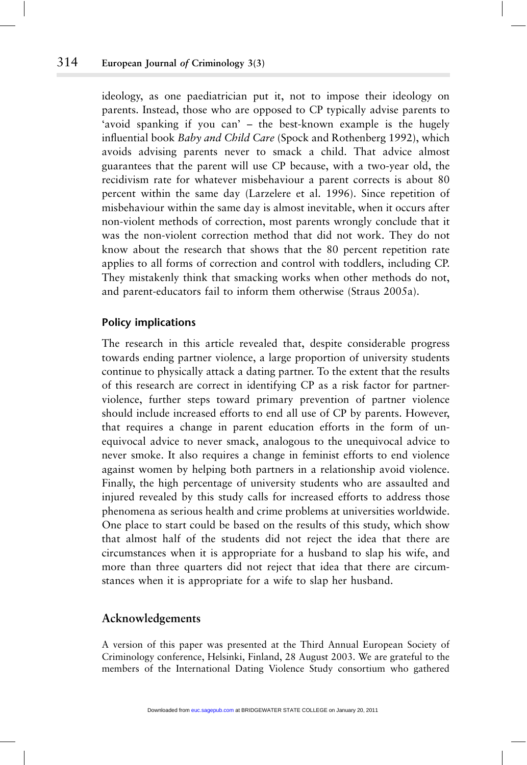ideology, as one paediatrician put it, not to impose their ideology on parents. Instead, those who are opposed to CP typically advise parents to 'avoid spanking if you can' – the best-known example is the hugely influential book *Baby and Child Care* (Spock and Rothenberg 1992), which avoids advising parents never to smack a child. That advice almost guarantees that the parent will use CP because, with a two-year old, the recidivism rate for whatever misbehaviour a parent corrects is about 80 percent within the same day (Larzelere et al. 1996). Since repetition of misbehaviour within the same day is almost inevitable, when it occurs after non-violent methods of correction, most parents wrongly conclude that it was the non-violent correction method that did not work. They do not know about the research that shows that the 80 percent repetition rate applies to all forms of correction and control with toddlers, including CP. They mistakenly think that smacking works when other methods do not, and parent-educators fail to inform them otherwise (Straus 2005a).

#### **Policy implications**

The research in this article revealed that, despite considerable progress towards ending partner violence, a large proportion of university students continue to physically attack a dating partner. To the extent that the results of this research are correct in identifying CP as a risk factor for partnerviolence, further steps toward primary prevention of partner violence should include increased efforts to end all use of CP by parents. However, that requires a change in parent education efforts in the form of unequivocal advice to never smack, analogous to the unequivocal advice to never smoke. It also requires a change in feminist efforts to end violence against women by helping both partners in a relationship avoid violence. Finally, the high percentage of university students who are assaulted and injured revealed by this study calls for increased efforts to address those phenomena as serious health and crime problems at universities worldwide. One place to start could be based on the results of this study, which show that almost half of the students did not reject the idea that there are circumstances when it is appropriate for a husband to slap his wife, and more than three quarters did not reject that idea that there are circumstances when it is appropriate for a wife to slap her husband.

### **Acknowledgements**

A version of this paper was presented at the Third Annual European Society of Criminology conference, Helsinki, Finland, 28 August 2003. We are grateful to the members of the International Dating Violence Study consortium who gathered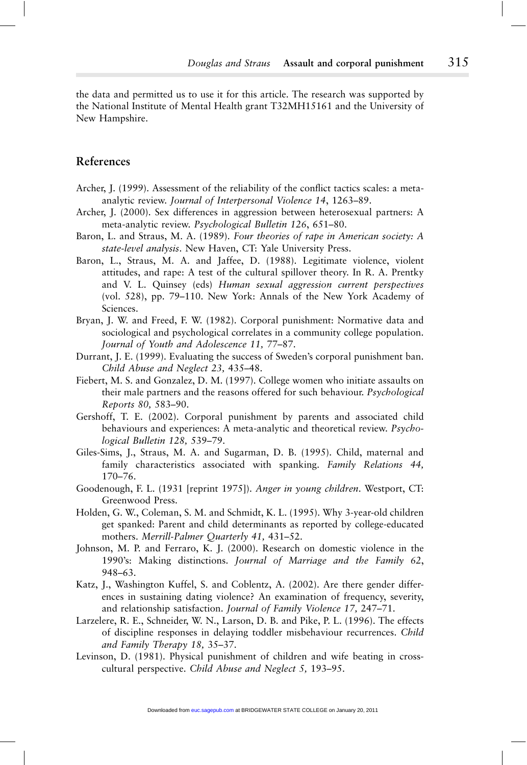the data and permitted us to use it for this article. The research was supported by the National Institute of Mental Health grant T32MH15161 and the University of New Hampshire.

#### **References**

- Archer, J. (1999). Assessment of the reliability of the conflict tactics scales: a metaanalytic review. *Journal of Interpersonal Violence 14*, 1263–89.
- Archer, J. (2000). Sex differences in aggression between heterosexual partners: A meta-analytic review. *Psychological Bulletin 126*, 651–80.
- Baron, L. and Straus, M. A. (1989). *Four theories of rape in American society: A state-level analysis*. New Haven, CT: Yale University Press.
- Baron, L., Straus, M. A. and Jaffee, D. (1988). Legitimate violence, violent attitudes, and rape: A test of the cultural spillover theory. In R. A. Prentky and V. L. Quinsey (eds) *Human sexual aggression current perspectives* (vol. 528), pp. 79–110. New York: Annals of the New York Academy of Sciences.
- Bryan, J. W. and Freed, F. W. (1982). Corporal punishment: Normative data and sociological and psychological correlates in a community college population. *Journal of Youth and Adolescence 11,* 77–87.
- Durrant, J. E. (1999). Evaluating the success of Sweden's corporal punishment ban. *Child Abuse and Neglect 23,* 435–48.
- Fiebert, M. S. and Gonzalez, D. M. (1997). College women who initiate assaults on their male partners and the reasons offered for such behaviour. *Psychological Reports 80,* 583–90.
- Gershoff, T. E. (2002). Corporal punishment by parents and associated child behaviours and experiences: A meta-analytic and theoretical review. *Psychological Bulletin 128,* 539–79.
- Giles-Sims, J., Straus, M. A. and Sugarman, D. B. (1995). Child, maternal and family characteristics associated with spanking. *Family Relations 44,* 170–76.
- Goodenough, F. L. (1931 [reprint 1975]). *Anger in young children*. Westport, CT: Greenwood Press.
- Holden, G. W., Coleman, S. M. and Schmidt, K. L. (1995). Why 3-year-old children get spanked: Parent and child determinants as reported by college-educated mothers. *Merrill-Palmer Quarterly 41,* 431–52.
- Johnson, M. P. and Ferraro, K. J. (2000). Research on domestic violence in the 1990's: Making distinctions. *Journal of Marriage and the Family 62*, 948–63.
- Katz, J., Washington Kuffel, S. and Coblentz, A. (2002). Are there gender differences in sustaining dating violence? An examination of frequency, severity, and relationship satisfaction. *Journal of Family Violence 17,* 247–71.
- Larzelere, R. E., Schneider, W. N., Larson, D. B. and Pike, P. L. (1996). The effects of discipline responses in delaying toddler misbehaviour recurrences. *Child and Family Therapy 18,* 35–37.
- Levinson, D. (1981). Physical punishment of children and wife beating in crosscultural perspective. *Child Abuse and Neglect 5,* 193–95.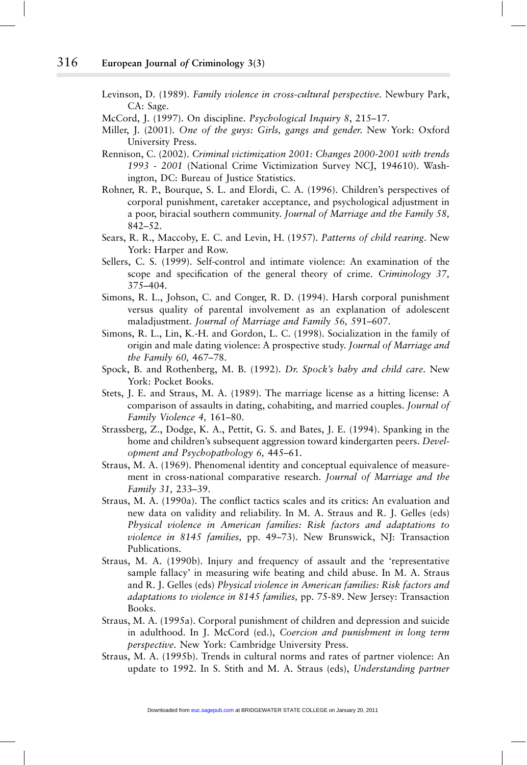- Levinson, D. (1989). *Family violence in cross-cultural perspective*. Newbury Park, CA: Sage.
- McCord, J. (1997). On discipline. *Psychological Inquiry 8*, 215–17.
- Miller, J. (2001). *One of the guys: Girls, gangs and gender*. New York: Oxford University Press.
- Rennison, C. (2002). *Criminal victimization 2001: Changes 2000-2001 with trends 1993 - 2001* (National Crime Victimization Survey NCJ, 194610). Washington, DC: Bureau of Justice Statistics.
- Rohner, R. P., Bourque, S. L. and Elordi, C. A. (1996). Children's perspectives of corporal punishment, caretaker acceptance, and psychological adjustment in a poor, biracial southern community. *Journal of Marriage and the Family 58,* 842–52.
- Sears, R. R., Maccoby, E. C. and Levin, H. (1957). *Patterns of child rearing*. New York: Harper and Row.
- Sellers, C. S. (1999). Self-control and intimate violence: An examination of the scope and specification of the general theory of crime. *Criminology 37,* 375–404.
- Simons, R. L., Johson, C. and Conger, R. D. (1994). Harsh corporal punishment versus quality of parental involvement as an explanation of adolescent maladjustment. *Journal of Marriage and Family 56,* 591–607.
- Simons, R. L., Lin, K.-H. and Gordon, L. C. (1998). Socialization in the family of origin and male dating violence: A prospective study. *Journal of Marriage and the Family 60,* 467–78.
- Spock, B. and Rothenberg, M. B. (1992). *Dr. Spock's baby and child care*. New York: Pocket Books.
- Stets, J. E. and Straus, M. A. (1989). The marriage license as a hitting license: A comparison of assaults in dating, cohabiting, and married couples. *Journal of Family Violence 4,* 161–80.
- Strassberg, Z., Dodge, K. A., Pettit, G. S. and Bates, J. E. (1994). Spanking in the home and children's subsequent aggression toward kindergarten peers. *Development and Psychopathology 6,* 445–61.
- Straus, M. A. (1969). Phenomenal identity and conceptual equivalence of measurement in cross-national comparative research. *Journal of Marriage and the Family 31,* 233–39.
- Straus, M. A. (1990a). The conflict tactics scales and its critics: An evaluation and new data on validity and reliability. In M. A. Straus and R. J. Gelles (eds) *Physical violence in American families: Risk factors and adaptations to violence in 8145 families,* pp. 49–73). New Brunswick, NJ: Transaction Publications.
- Straus, M. A. (1990b). Injury and frequency of assault and the 'representative sample fallacy' in measuring wife beating and child abuse. In M. A. Straus and R. J. Gelles (eds) *Physical violence in American families: Risk factors and adaptations to violence in 8145 families,* pp. 75-89. New Jersey: Transaction Books.
- Straus, M. A. (1995a). Corporal punishment of children and depression and suicide in adulthood. In J. McCord (ed.), *Coercion and punishment in long term perspective*. New York: Cambridge University Press.
- Straus, M. A. (1995b). Trends in cultural norms and rates of partner violence: An update to 1992. In S. Stith and M. A. Straus (eds), *Understanding partner*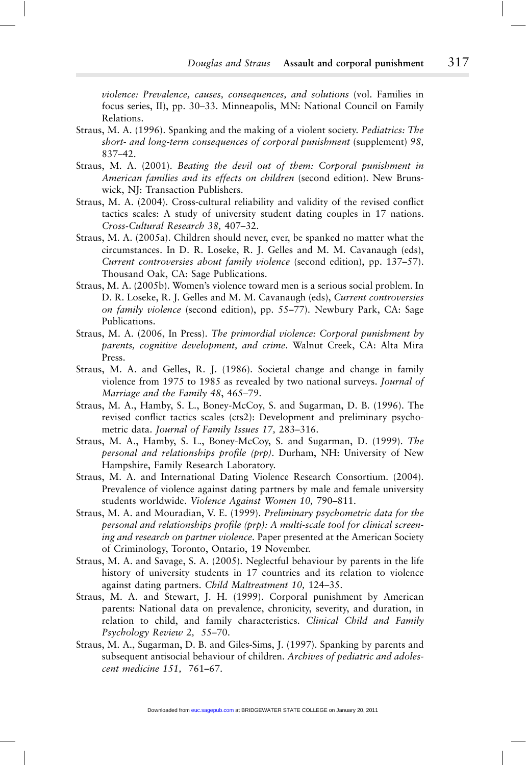*violence: Prevalence, causes, consequences, and solutions* (vol. Families in focus series, II), pp. 30–33. Minneapolis, MN: National Council on Family Relations.

- Straus, M. A. (1996). Spanking and the making of a violent society. *Pediatrics: The short- and long-term consequences of corporal punishment* (supplement) *98,* 837–42.
- Straus, M. A. (2001). *Beating the devil out of them: Corporal punishment in American families and its effects on children* (second edition). New Brunswick, NJ: Transaction Publishers.
- Straus, M. A. (2004). Cross-cultural reliability and validity of the revised conflict tactics scales: A study of university student dating couples in 17 nations. *Cross-Cultural Research 38,* 407–32.
- Straus, M. A. (2005a). Children should never, ever, be spanked no matter what the circumstances. In D. R. Loseke, R. J. Gelles and M. M. Cavanaugh (eds), *Current controversies about family violence* (second edition), pp. 137–57). Thousand Oak, CA: Sage Publications.
- Straus, M. A. (2005b). Women's violence toward men is a serious social problem. In D. R. Loseke, R. J. Gelles and M. M. Cavanaugh (eds), *Current controversies on family violence* (second edition), pp. 55–77). Newbury Park, CA: Sage Publications.
- Straus, M. A. (2006, In Press). *The primordial violence: Corporal punishment by parents, cognitive development, and crime*. Walnut Creek, CA: Alta Mira Press.
- Straus, M. A. and Gelles, R. J. (1986). Societal change and change in family violence from 1975 to 1985 as revealed by two national surveys. *Journal of Marriage and the Family 48*, 465–79.
- Straus, M. A., Hamby, S. L., Boney-McCoy, S. and Sugarman, D. B. (1996). The revised conflict tactics scales (cts2): Development and preliminary psychometric data. *Journal of Family Issues 17,* 283–316.
- Straus, M. A., Hamby, S. L., Boney-McCoy, S. and Sugarman, D. (1999). *The personal and relationships profile (prp)*. Durham, NH: University of New Hampshire, Family Research Laboratory.
- Straus, M. A. and International Dating Violence Research Consortium. (2004). Prevalence of violence against dating partners by male and female university students worldwide. *Violence Against Women 10,* 790–811.
- Straus, M. A. and Mouradian, V. E. (1999). *Preliminary psychometric data for the personal and relationships profile (prp): A multi-scale tool for clinical screening and research on partner violence.* Paper presented at the American Society of Criminology, Toronto, Ontario, 19 November.
- Straus, M. A. and Savage, S. A. (2005). Neglectful behaviour by parents in the life history of university students in 17 countries and its relation to violence against dating partners. *Child Maltreatment 10,* 124–35.
- Straus, M. A. and Stewart, J. H. (1999). Corporal punishment by American parents: National data on prevalence, chronicity, severity, and duration, in relation to child, and family characteristics. *Clinical Child and Family Psychology Review 2,* 55–70.
- Straus, M. A., Sugarman, D. B. and Giles-Sims, J. (1997). Spanking by parents and subsequent antisocial behaviour of children. *Archives of pediatric and adolescent medicine 151,* 761–67.